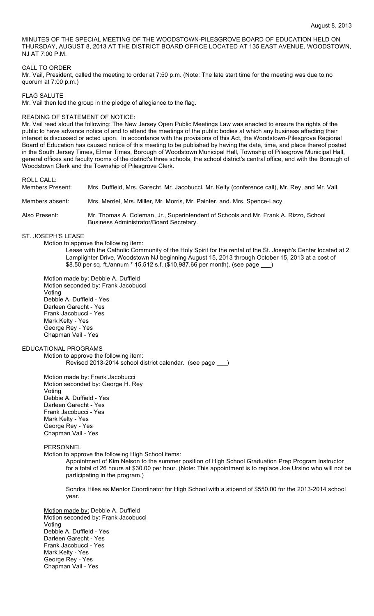MINUTES OF THE SPECIAL MEETING OF THE WOODSTOWN-PILESGROVE BOARD OF EDUCATION HELD ON THURSDAY, AUGUST 8, 2013 AT THE DISTRICT BOARD OFFICE LOCATED AT 135 EAST AVENUE, WOODSTOWN, NJ AT 7:00 P.M.

#### CALL TO ORDER

Mr. Vail, President, called the meeting to order at 7:50 p.m. (Note: The late start time for the meeting was due to no quorum at 7:00 p.m.)

FLAG SALUTE

Mr. Vail then led the group in the pledge of allegiance to the flag.

#### READING OF STATEMENT OF NOTICE:

Mr. Vail read aloud the following: The New Jersey Open Public Meetings Law was enacted to ensure the rights of the public to have advance notice of and to attend the meetings of the public bodies at which any business affecting their interest is discussed or acted upon. In accordance with the provisions of this Act, the Woodstown-Pilesgrove Regional Board of Education has caused notice of this meeting to be published by having the date, time, and place thereof posted in the South Jersey Times, Elmer Times, Borough of Woodstown Municipal Hall, Township of Pilesgrove Municipal Hall, general offices and faculty rooms of the district's three schools, the school district's central office, and with the Borough of Woodstown Clerk and the Township of Pilesgrove Clerk.

ROLL CALL:

Members Present: Mrs. Duffield, Mrs. Garecht, Mr. Jacobucci, Mr. Kelty (conference call), Mr. Rey, and Mr. Vail. Members absent: Mrs. Merriel, Mrs. Miller, Mr. Morris, Mr. Painter, and. Mrs. Spence-Lacy. Also Present: Mr. Thomas A. Coleman, Jr., Superintendent of Schools and Mr. Frank A. Rizzo, School Business Administrator/Board Secretary.

ST. JOSEPH'S LEASE

Motion to approve the following item:

Lease with the Catholic Community of the Holy Spirit for the rental of the St. Joseph's Center located at 2 Lamplighter Drive, Woodstown NJ beginning August 15, 2013 through October 15, 2013 at a cost of \$8.50 per sq. ft./annum \* 15,512 s.f. (\$10,987.66 per month). (see page \_

Motion made by: Debbie A. Duffield Motion seconded by: Frank Jacobucci **Voting** Debbie A. Duffield - Yes Darleen Garecht - Yes Frank Jacobucci - Yes Mark Kelty - Yes George Rey - Yes Chapman Vail - Yes

### EDUCATIONAL PROGRAMS

Motion to approve the following item: Revised 2013-2014 school district calendar. (see page \_\_\_)

Motion made by: Frank Jacobucci Motion seconded by: George H. Rey Voting Debbie A. Duffield - Yes Darleen Garecht - Yes Frank Jacobucci - Yes Mark Kelty - Yes George Rey - Yes Chapman Vail - Yes

# PERSONNEL

Motion to approve the following High School items:

Appointment of Kim Nelson to the summer position of High School Graduation Prep Program Instructor for a total of 26 hours at \$30.00 per hour. (Note: This appointment is to replace Joe Ursino who will not be participating in the program.)

Sondra Hiles as Mentor Coordinator for High School with a stipend of \$550.00 for the 2013-2014 school year.

Motion made by: Debbie A. Duffield Motion seconded by: Frank Jacobucci Voting Debbie A. Duffield - Yes Darleen Garecht - Yes Frank Jacobucci - Yes Mark Kelty - Yes George Rey - Yes Chapman Vail - Yes